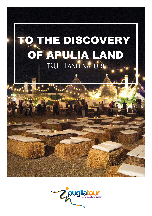# TO THE DISCOVERY OF APULIA LAND TRULLI AND NATURE

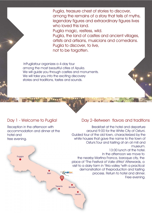Puglia, treasure chest of stories to discover, among the remains of a story that tells of myths, legendary figures and extraordinary figures lives who loved this land. Puglia magic, restless, wild. Puglia, the land of castles and ancient villages,

artists and artisans, musicians and comedians. Puglia to discover, to live, not to be forgotten.

InPugliatour organizes a 4-day tour among the most beautiful cities of Apulia. We will guide you through castles and monuments. We will take you into the exciting discovery stories and traditions, tastes and sounds.

### Day 1 - Welcome to Puglia!

Reception in the afternoon with accommodation and dinner at the hotel and free evening.

Bari

Taranto

Brindisi

Lecce

Foggia

#### Day 2–Between flavors and traditions

 Breakfast at the hotel and departure around 9:00 for the White City of Ostuni. Guided tour of the old town, characterized by the white houses that gave the name to the town of Ostuni.Tour and tasting at an oil mill and museum. 13:00 lunch at the hotel. In the afternoon we move to the nearby Martina Franca, baroque city, the place of "The Festival of Valle d'Itria" Afterwards, a visit to a dairy farm in "Itria valley "with a practical demonstration of theproduction and tasting Z<sub>pugliatour</sub> process. Return to hotel and dinner. Free evening.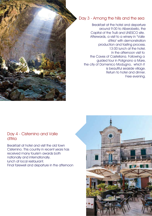

## Day 3 - Among the hills and the sea

Breakfast at the hotel and departure around 9:00 to Alberobello, the Capital of the Trulli and UNESCO site. Afterwards, a visit to a winery in "Valle d'Itria" with demonstration production and tasting process. 13:00 lunch at the hotel. In the afternoon visit to the Caves of Castellana. Following a guided tour in Polignano a Mare, the city of Domenico Modugno, which it is beautiful seaside village. Return to hotel and dinner. Free evening.

#### Day 4 - Cisternino and Valle d'Itria

Breakfast at hotel and visit the old town Cisternino. This country in recent years has received many tourism awards both nationally and internationally. lunch at local restaurant. Final farewell and departure in the afternoon